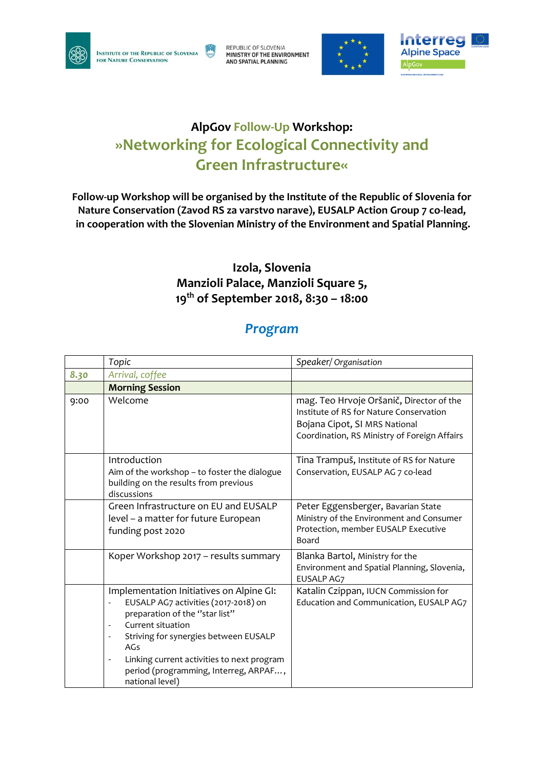

**INSTITUTE OF THE REPUBLIC OF SLOVENIA** FOR NATURE CONSERVATION

REPUBLIC OF SLOVENIA<br>**MINISTRY OF THE ENVIRONMENT** AND SPATIAL PLANNING





## **AlpGov Follow-Up Workshop: »Networking for Ecological Connectivity and Green Infrastructure«**

**Follow-up Workshop will be organised by the Institute of the Republic of Slovenia for Nature Conservation (Zavod RS za varstvo narave), EUSALP Action Group 7 co-lead, in cooperation with the Slovenian Ministry of the Environment and Spatial Planning.**

## **Izola, Slovenia Manzioli Palace, Manzioli Square 5, 19th of September 2018, 8:30 – 18:00**

## *Program*

|      | Topic                                                                                                                                                                                                                                                                                                                                                                       | Speaker/ Organisation                                                                                                                                                |
|------|-----------------------------------------------------------------------------------------------------------------------------------------------------------------------------------------------------------------------------------------------------------------------------------------------------------------------------------------------------------------------------|----------------------------------------------------------------------------------------------------------------------------------------------------------------------|
| 8.30 | Arrival, coffee                                                                                                                                                                                                                                                                                                                                                             |                                                                                                                                                                      |
|      | <b>Morning Session</b>                                                                                                                                                                                                                                                                                                                                                      |                                                                                                                                                                      |
| 9:00 | Welcome                                                                                                                                                                                                                                                                                                                                                                     | mag. Teo Hrvoje Oršanič, Director of the<br>Institute of RS for Nature Conservation<br>Bojana Cipot, SI MRS National<br>Coordination, RS Ministry of Foreign Affairs |
|      | Introduction<br>Aim of the workshop - to foster the dialogue<br>building on the results from previous<br>discussions                                                                                                                                                                                                                                                        | Tina Trampuš, Institute of RS for Nature<br>Conservation, EUSALP AG 7 co-lead                                                                                        |
|      | Green Infrastructure on EU and EUSALP<br>level - a matter for future European<br>funding post 2020                                                                                                                                                                                                                                                                          | Peter Eggensberger, Bavarian State<br>Ministry of the Environment and Consumer<br>Protection, member EUSALP Executive<br>Board                                       |
|      | Koper Workshop 2017 - results summary                                                                                                                                                                                                                                                                                                                                       | Blanka Bartol, Ministry for the<br>Environment and Spatial Planning, Slovenia,<br>EUSALP AG7                                                                         |
|      | Implementation Initiatives on Alpine GI:<br>EUSALP AG7 activities (2017-2018) on<br>preparation of the "star list"<br>Current situation<br>$\overline{\phantom{a}}$<br>Striving for synergies between EUSALP<br>$\blacksquare$<br>AGs<br>Linking current activities to next program<br>$\overline{\phantom{a}}$<br>period (programming, Interreg, ARPAF,<br>national level) | Katalin Czippan, IUCN Commission for<br>Education and Communication, EUSALP AG7                                                                                      |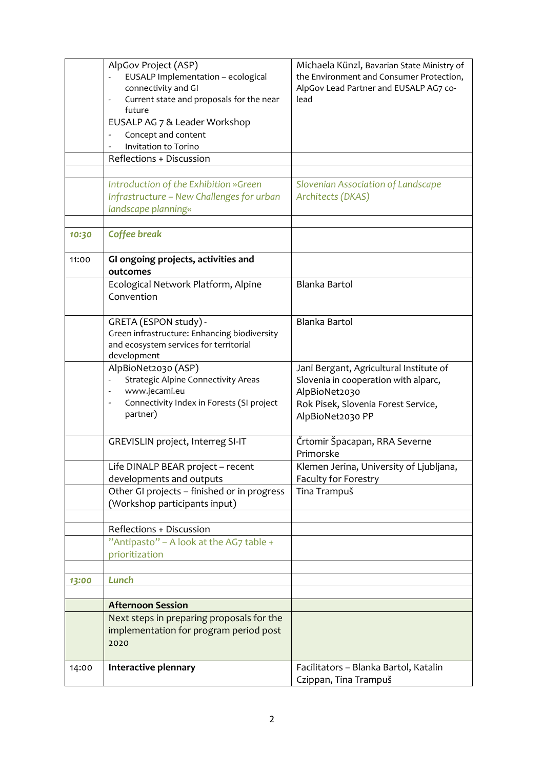|       | AlpGov Project (ASP)<br>EUSALP Implementation - ecological<br>connectivity and GI<br>Current state and proposals for the near<br>$\overline{\phantom{a}}$<br>future<br>EUSALP AG 7 & Leader Workshop<br>Concept and content<br>Invitation to Torino<br>Reflections + Discussion<br>Introduction of the Exhibition »Green | Michaela Künzl, Bavarian State Ministry of<br>the Environment and Consumer Protection,<br>AlpGov Lead Partner and EUSALP AG7 co-<br>lead<br>Slovenian Association of Landscape |
|-------|--------------------------------------------------------------------------------------------------------------------------------------------------------------------------------------------------------------------------------------------------------------------------------------------------------------------------|--------------------------------------------------------------------------------------------------------------------------------------------------------------------------------|
|       | Infrastructure - New Challenges for urban<br>landscape planning«                                                                                                                                                                                                                                                         | Architects (DKAS)                                                                                                                                                              |
| 10:30 | Coffee break                                                                                                                                                                                                                                                                                                             |                                                                                                                                                                                |
| 11:00 | GI ongoing projects, activities and<br>outcomes                                                                                                                                                                                                                                                                          |                                                                                                                                                                                |
|       | Ecological Network Platform, Alpine<br>Convention                                                                                                                                                                                                                                                                        | Blanka Bartol                                                                                                                                                                  |
|       | GRETA (ESPON study) -<br>Green infrastructure: Enhancing biodiversity<br>and ecosystem services for territorial<br>development                                                                                                                                                                                           | Blanka Bartol                                                                                                                                                                  |
|       | AlpBioNet2030 (ASP)<br><b>Strategic Alpine Connectivity Areas</b><br>www.jecami.eu<br>Connectivity Index in Forests (SI project<br>partner)                                                                                                                                                                              | Jani Bergant, Agricultural Institute of<br>Slovenia in cooperation with alparc,<br>AlpBioNet2030<br>Rok Pisek, Slovenia Forest Service,<br>AlpBioNet2030 PP                    |
|       | <b>GREVISLIN project, Interreg SI-IT</b>                                                                                                                                                                                                                                                                                 | Črtomir Špacapan, RRA Severne<br>Primorske                                                                                                                                     |
|       | Life DINALP BEAR project - recent<br>developments and outputs                                                                                                                                                                                                                                                            | Klemen Jerina, University of Ljubljana,<br>Faculty for Forestry                                                                                                                |
|       | Other GI projects - finished or in progress<br>(Workshop participants input)                                                                                                                                                                                                                                             | Tina Trampuš                                                                                                                                                                   |
|       | Reflections + Discussion                                                                                                                                                                                                                                                                                                 |                                                                                                                                                                                |
|       | "Antipasto" - A look at the AG7 table +<br>prioritization                                                                                                                                                                                                                                                                |                                                                                                                                                                                |
| 13:00 | Lunch                                                                                                                                                                                                                                                                                                                    |                                                                                                                                                                                |
|       | <b>Afternoon Session</b>                                                                                                                                                                                                                                                                                                 |                                                                                                                                                                                |
|       | Next steps in preparing proposals for the<br>implementation for program period post<br>2020                                                                                                                                                                                                                              |                                                                                                                                                                                |
| 14:00 | Interactive plennary                                                                                                                                                                                                                                                                                                     | Facilitators - Blanka Bartol, Katalin<br>Czippan, Tina Trampuš                                                                                                                 |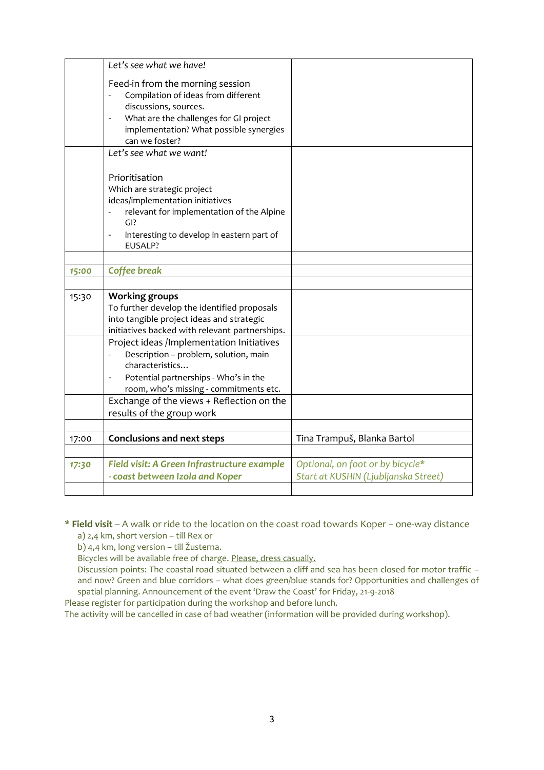|       | Let's see what we have!                                                                                                                                                                                                                                                                                                                                                                                                                   |                                                                          |
|-------|-------------------------------------------------------------------------------------------------------------------------------------------------------------------------------------------------------------------------------------------------------------------------------------------------------------------------------------------------------------------------------------------------------------------------------------------|--------------------------------------------------------------------------|
|       | Feed-in from the morning session<br>Compilation of ideas from different<br>discussions, sources.<br>What are the challenges for GI project<br>$\overline{\phantom{a}}$<br>implementation? What possible synergies<br>can we foster?                                                                                                                                                                                                       |                                                                          |
|       | Let's see what we want!                                                                                                                                                                                                                                                                                                                                                                                                                   |                                                                          |
|       | Prioritisation<br>Which are strategic project<br>ideas/implementation initiatives<br>relevant for implementation of the Alpine<br>$GI$ ?<br>interesting to develop in eastern part of<br>$\overline{\phantom{a}}$<br>EUSALP?                                                                                                                                                                                                              |                                                                          |
|       |                                                                                                                                                                                                                                                                                                                                                                                                                                           |                                                                          |
| 15:00 | <b>Coffee break</b>                                                                                                                                                                                                                                                                                                                                                                                                                       |                                                                          |
| 15:30 | <b>Working groups</b><br>To further develop the identified proposals<br>into tangible project ideas and strategic<br>initiatives backed with relevant partnerships.<br>Project ideas /Implementation Initiatives<br>Description - problem, solution, main<br>characteristics<br>Potential partnerships - Who's in the<br>room, who's missing - commitments etc.<br>Exchange of the views + Reflection on the<br>results of the group work |                                                                          |
| 17:00 | <b>Conclusions and next steps</b>                                                                                                                                                                                                                                                                                                                                                                                                         | Tina Trampuš, Blanka Bartol                                              |
|       |                                                                                                                                                                                                                                                                                                                                                                                                                                           |                                                                          |
| 17:30 | Field visit: A Green Infrastructure example<br>- coast between Izola and Koper                                                                                                                                                                                                                                                                                                                                                            | Optional, on foot or by bicycle*<br>Start at KUSHIN (Ljubljanska Street) |

\* **Field visit** – A walk or ride to the location on the coast road towards Koper – one-way distance

a) 2,4 km, short version – till Rex or

b) 4,4 km, long version – till Žusterna.

Bicycles will be available free of charge. Please, dress casually.

Discussion points: The coastal road situated between a cliff and sea has been closed for motor traffic – and now? Green and blue corridors – what does green/blue stands for? Opportunities and challenges of spatial planning. Announcement of the event 'Draw the Coast' for Friday, 21-9-2018

Please register for participation during the workshop and before lunch.

The activity will be cancelled in case of bad weather (information will be provided during workshop).